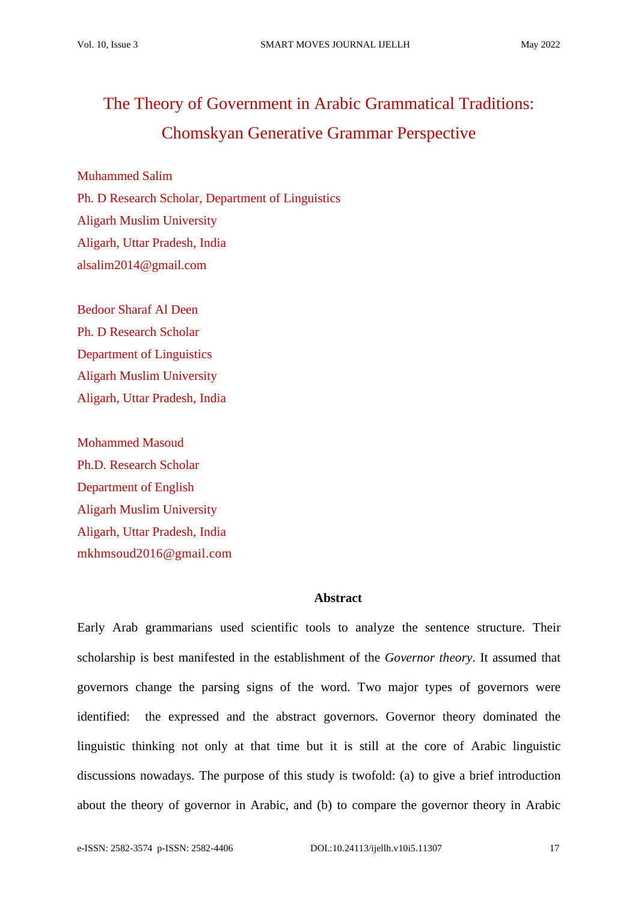# The Theory of Government in Arabic Grammatical Traditions: Chomskyan Generative Grammar Perspective

Muhammed Salim Ph. D Research Scholar, Department of Linguistics Aligarh Muslim University Aligarh, Uttar Pradesh, India alsalim2014@gmail.com

Bedoor Sharaf Al Deen Ph. D Research Scholar Department of Linguistics Aligarh Muslim University Aligarh, Uttar Pradesh, India

Mohammed Masoud Ph.D. Research Scholar Department of English Aligarh Muslim University Aligarh, Uttar Pradesh, India mkhmsoud2016@gmail.com

## **Abstract**

Early Arab grammarians used scientific tools to analyze the sentence structure. Their scholarship is best manifested in the establishment of the *Governor theory*. It assumed that governors change the parsing signs of the word. Two major types of governors were identified: the expressed and the abstract governors. Governor theory dominated the linguistic thinking not only at that time but it is still at the core of Arabic linguistic discussions nowadays. The purpose of this study is twofold: (a) to give a brief introduction about the theory of governor in Arabic, and (b) to compare the governor theory in Arabic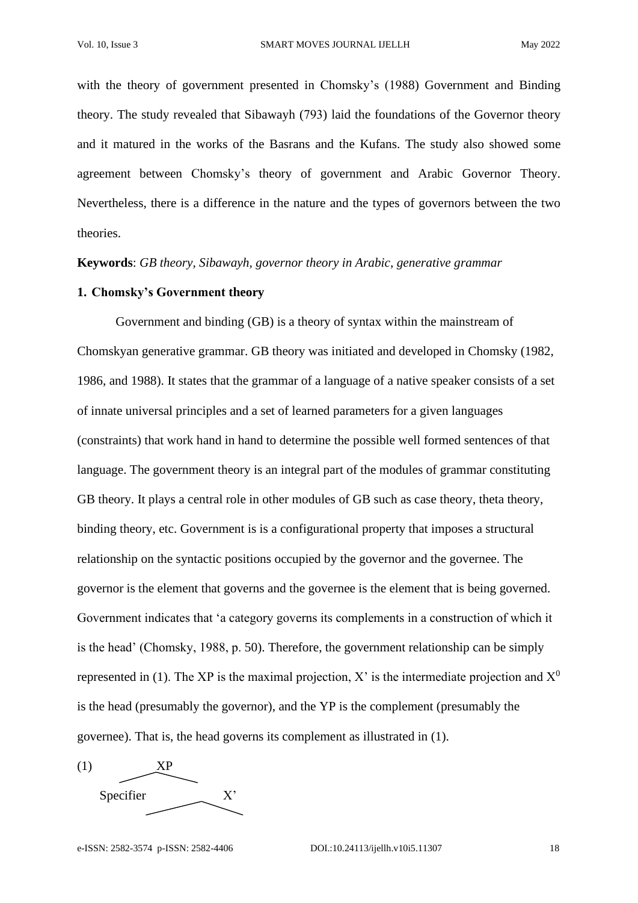with the theory of government presented in Chomsky's (1988) Government and Binding theory. The study revealed that Sibawayh (793) laid the foundations of the Governor theory and it matured in the works of the Basrans and the Kufans. The study also showed some agreement between Chomsky's theory of government and Arabic Governor Theory. Nevertheless, there is a difference in the nature and the types of governors between the two theories.

**Keywords**: *GB theory, Sibawayh, governor theory in Arabic, generative grammar*

## **1. Chomsky's Government theory**

Government and binding (GB) is a theory of syntax within the mainstream of Chomskyan generative grammar. GB theory was initiated and developed in Chomsky (1982, 1986, and 1988). It states that the grammar of a language of a native speaker consists of a set of innate universal principles and a set of learned parameters for a given languages (constraints) that work hand in hand to determine the possible well formed sentences of that language. The government theory is an integral part of the modules of grammar constituting GB theory. It plays a central role in other modules of GB such as case theory, theta theory, binding theory, etc. Government is is a configurational property that imposes a structural relationship on the syntactic positions occupied by the governor and the governee. The governor is the element that governs and the governee is the element that is being governed. Government indicates that 'a category governs its complements in a construction of which it is the head' (Chomsky, 1988, p. 50). Therefore, the government relationship can be simply represented in (1). The XP is the maximal projection, X' is the intermediate projection and  $X^0$ is the head (presumably the governor), and the YP is the complement (presumably the governee). That is, the head governs its complement as illustrated in (1).

(1) XP Specifier X'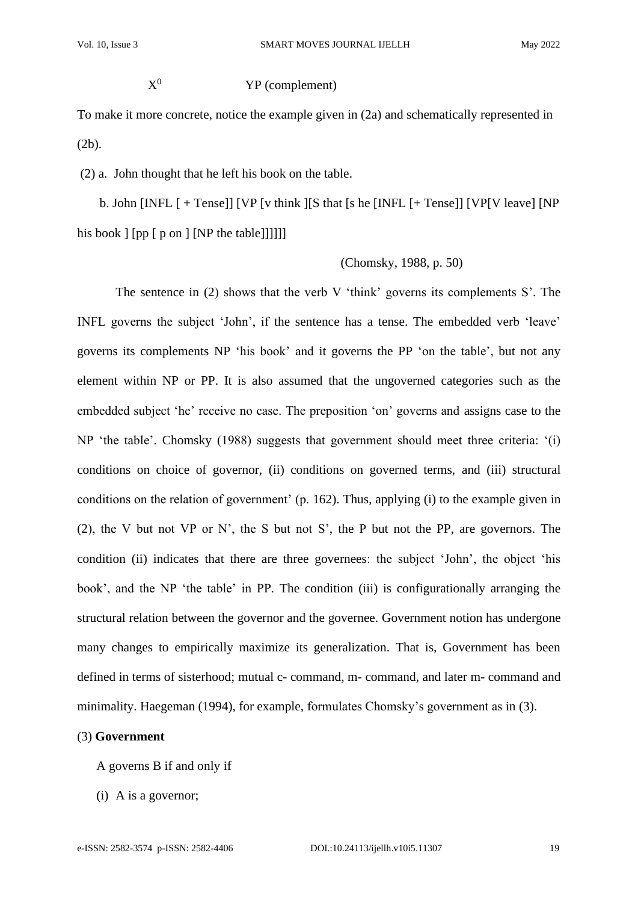$\mathrm{X}^0$ 

#### YP (complement)

To make it more concrete, notice the example given in (2a) and schematically represented in (2b).

(2) a. John thought that he left his book on the table.

 b. John [INFL [ + Tense]] [VP [v think ][S that [s he [INFL [+ Tense]] [VP[V leave] [NP his book  $\lceil$  [pp  $\lceil$  p on  $\rceil$  [NP the table]]]]]]

## (Chomsky, 1988, p. 50)

The sentence in (2) shows that the verb V 'think' governs its complements S'. The INFL governs the subject 'John', if the sentence has a tense. The embedded verb 'leave' governs its complements NP 'his book' and it governs the PP 'on the table', but not any element within NP or PP. It is also assumed that the ungoverned categories such as the embedded subject 'he' receive no case. The preposition 'on' governs and assigns case to the NP 'the table'. Chomsky (1988) suggests that government should meet three criteria: '(i) conditions on choice of governor, (ii) conditions on governed terms, and (iii) structural conditions on the relation of government' (p. 162). Thus, applying (i) to the example given in (2), the V but not VP or N', the S but not S', the P but not the PP, are governors. The condition (ii) indicates that there are three governees: the subject 'John', the object 'his book', and the NP 'the table' in PP. The condition (iii) is configurationally arranging the structural relation between the governor and the governee. Government notion has undergone many changes to empirically maximize its generalization. That is, Government has been defined in terms of sisterhood; mutual c- command, m- command, and later m- command and minimality. Haegeman (1994), for example, formulates Chomsky's government as in (3).

## (3) **Government**

A governs B if and only if

(i) A is a governor;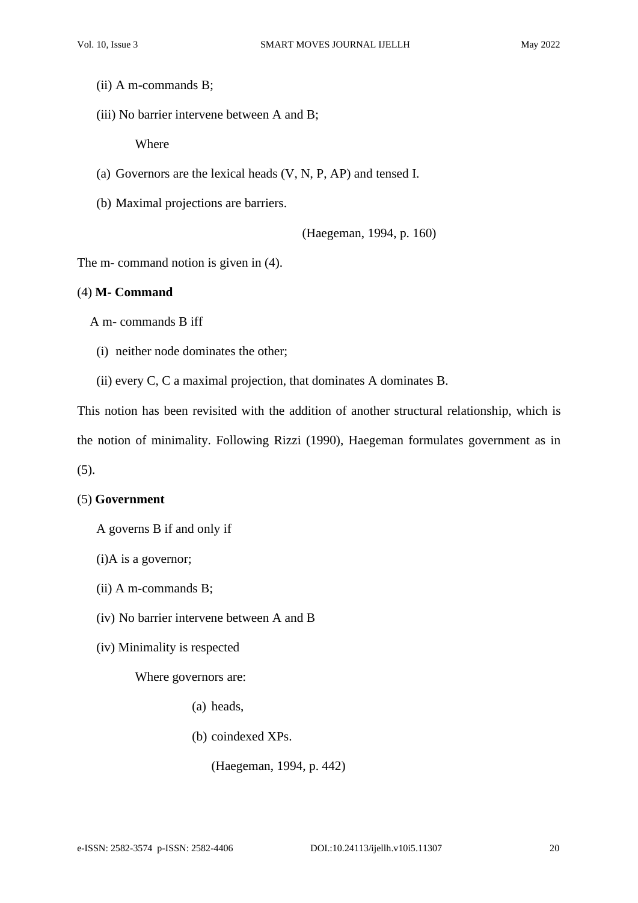- (ii) A m-commands B;
- (iii) No barrier intervene between A and B;

Where

- (a) Governors are the lexical heads (V, N, P, AP) and tensed I.
- (b) Maximal projections are barriers.

(Haegeman, 1994, p. 160)

The m- command notion is given in (4).

## (4) **M- Command**

A m- commands B iff

- (i) neither node dominates the other;
- (ii) every C, C a maximal projection, that dominates A dominates B.

This notion has been revisited with the addition of another structural relationship, which is

the notion of minimality. Following Rizzi (1990), Haegeman formulates government as in

(5).

## (5) **Government**

- A governs B if and only if
- (i)A is a governor;
- (ii) A m-commands B;
- (iv) No barrier intervene between A and B
- (iv) Minimality is respected

Where governors are:

- (a) heads,
- (b) coindexed XPs.

(Haegeman, 1994, p. 442)

e-ISSN: 2582-3574 p-ISSN: 2582-4406 DOI.:10.24113/ijellh.v10i5.11307 20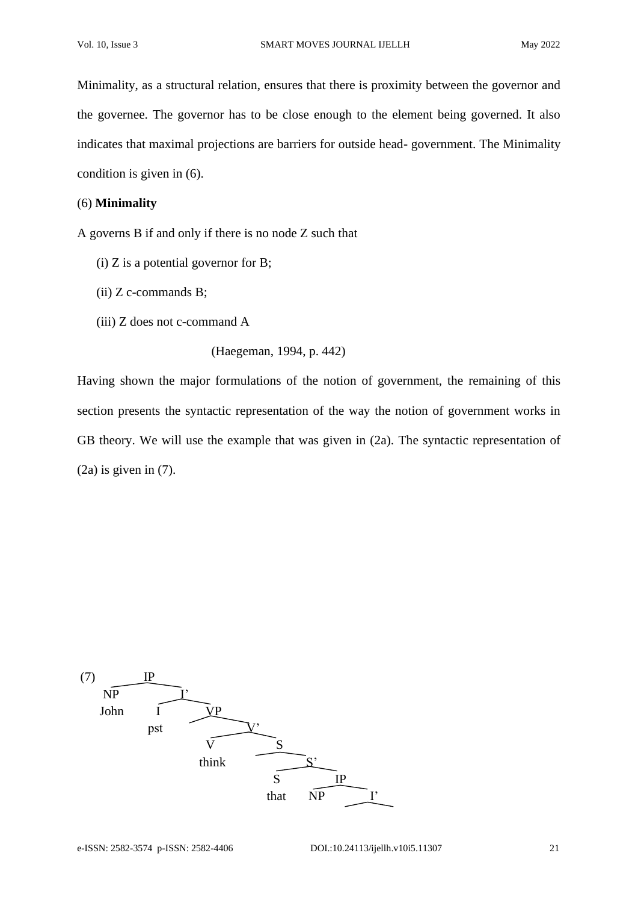Minimality, as a structural relation, ensures that there is proximity between the governor and the governee. The governor has to be close enough to the element being governed. It also indicates that maximal projections are barriers for outside head- government. The Minimality condition is given in (6).

#### (6) **Minimality**

A governs B if and only if there is no node Z such that

- $(i)$  Z is a potential governor for B;
- (ii) Z c-commands B;
- (iii) Z does not c-command A

```
(Haegeman, 1994, p. 442)
```
Having shown the major formulations of the notion of government, the remaining of this section presents the syntactic representation of the way the notion of government works in GB theory. We will use the example that was given in (2a). The syntactic representation of (2a) is given in (7).

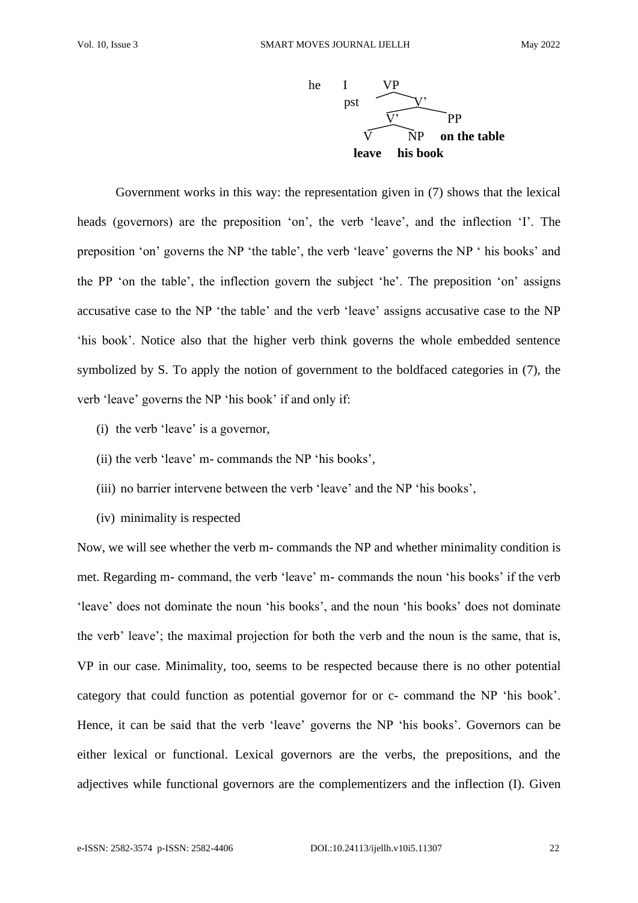

Government works in this way: the representation given in (7) shows that the lexical heads (governors) are the preposition 'on', the verb 'leave', and the inflection 'I'. The preposition 'on' governs the NP 'the table', the verb 'leave' governs the NP ' his books' and the PP 'on the table', the inflection govern the subject 'he'. The preposition 'on' assigns accusative case to the NP 'the table' and the verb 'leave' assigns accusative case to the NP 'his book'. Notice also that the higher verb think governs the whole embedded sentence symbolized by S. To apply the notion of government to the boldfaced categories in (7), the verb 'leave' governs the NP 'his book' if and only if:

- (i) the verb 'leave' is a governor,
- (ii) the verb 'leave' m- commands the NP 'his books',
- (iii) no barrier intervene between the verb 'leave' and the NP 'his books',
- (iv) minimality is respected

Now, we will see whether the verb m- commands the NP and whether minimality condition is met. Regarding m- command, the verb 'leave' m- commands the noun 'his books' if the verb 'leave' does not dominate the noun 'his books', and the noun 'his books' does not dominate the verb' leave'; the maximal projection for both the verb and the noun is the same, that is, VP in our case. Minimality, too, seems to be respected because there is no other potential category that could function as potential governor for or c- command the NP 'his book'. Hence, it can be said that the verb 'leave' governs the NP 'his books'. Governors can be either lexical or functional. Lexical governors are the verbs, the prepositions, and the adjectives while functional governors are the complementizers and the inflection (I). Given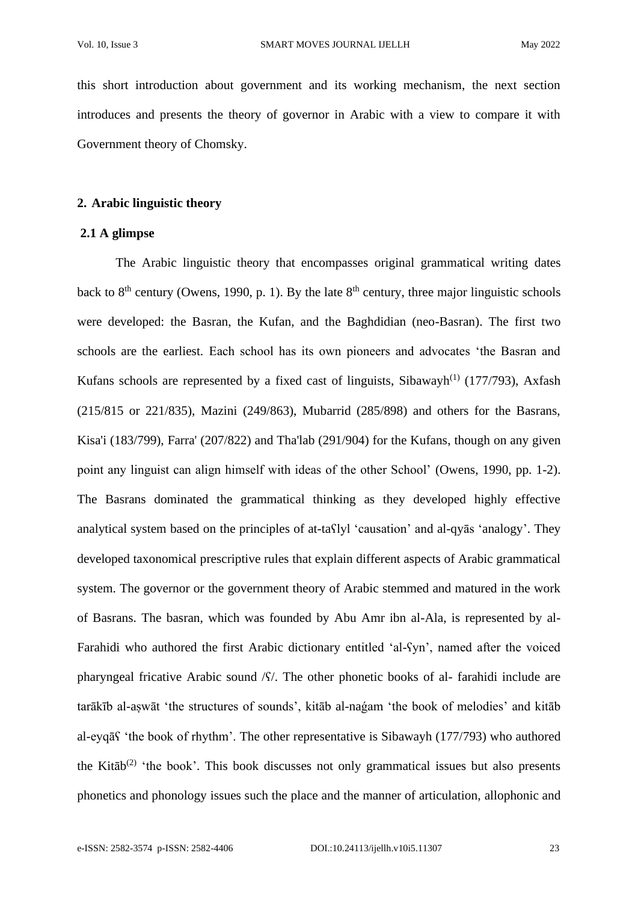this short introduction about government and its working mechanism, the next section introduces and presents the theory of governor in Arabic with a view to compare it with Government theory of Chomsky.

## **2. Arabic linguistic theory**

## **2.1 A glimpse**

The Arabic linguistic theory that encompasses original grammatical writing dates back to  $8<sup>th</sup>$  century (Owens, 1990, p. 1). By the late  $8<sup>th</sup>$  century, three major linguistic schools were developed: the Basran, the Kufan, and the Baghdidian (neo-Basran). The first two schools are the earliest. Each school has its own pioneers and advocates 'the Basran and Kufans schools are represented by a fixed cast of linguists, Sibawayh<sup>(1)</sup> (177/793), Axfash (215/815 or 221/835), Mazini (249/863), Mubarrid (285/898) and others for the Basrans, Kisa'i (183/799), Farra' (207/822) and Tha'lab (291/904) for the Kufans, though on any given point any linguist can align himself with ideas of the other School' (Owens, 1990, pp. 1-2). The Basrans dominated the grammatical thinking as they developed highly effective analytical system based on the principles of at-taʕlyl 'causation' and al-qyās 'analogy'. They developed taxonomical prescriptive rules that explain different aspects of Arabic grammatical system. The governor or the government theory of Arabic stemmed and matured in the work of Basrans. The basran, which was founded by Abu Amr ibn al-Ala, is represented by al-Farahidi who authored the first Arabic dictionary entitled 'al-ʕyn', named after the voiced pharyngeal fricative Arabic sound  $\sqrt{S}$ . The other phonetic books of al-farahidi include are tarākīb al-aṣwāt 'the structures of sounds', kitāb al-naǵam 'the book of melodies' and kitāb al-eyqāʕ 'the book of rhythm'. The other representative is Sibawayh (177/793) who authored the Kitāb<sup>(2)</sup> 'the book'. This book discusses not only grammatical issues but also presents phonetics and phonology issues such the place and the manner of articulation, allophonic and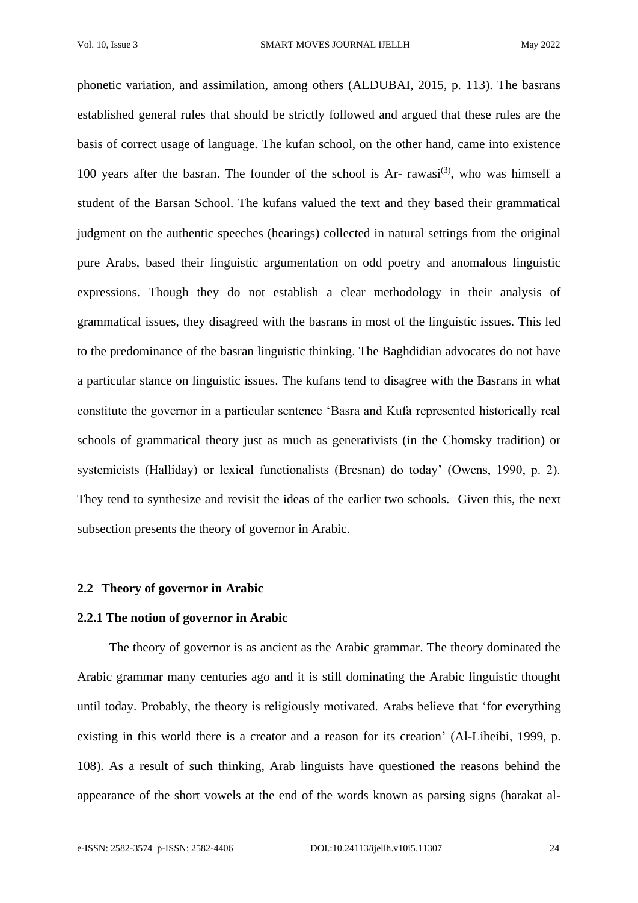phonetic variation, and assimilation, among others (ALDUBAI, 2015, p. 113). The basrans established general rules that should be strictly followed and argued that these rules are the basis of correct usage of language. The kufan school, on the other hand, came into existence 100 years after the basran. The founder of the school is Ar- rawasi<sup>(3)</sup>, who was himself a student of the Barsan School. The kufans valued the text and they based their grammatical judgment on the authentic speeches (hearings) collected in natural settings from the original pure Arabs, based their linguistic argumentation on odd poetry and anomalous linguistic expressions. Though they do not establish a clear methodology in their analysis of grammatical issues, they disagreed with the basrans in most of the linguistic issues. This led to the predominance of the basran linguistic thinking. The Baghdidian advocates do not have a particular stance on linguistic issues. The kufans tend to disagree with the Basrans in what constitute the governor in a particular sentence 'Basra and Kufa represented historically real schools of grammatical theory just as much as generativists (in the Chomsky tradition) or systemicists (Halliday) or lexical functionalists (Bresnan) do today' (Owens, 1990, p. 2). They tend to synthesize and revisit the ideas of the earlier two schools. Given this, the next subsection presents the theory of governor in Arabic.

### **2.2 Theory of governor in Arabic**

## **2.2.1 The notion of governor in Arabic**

 The theory of governor is as ancient as the Arabic grammar. The theory dominated the Arabic grammar many centuries ago and it is still dominating the Arabic linguistic thought until today. Probably, the theory is religiously motivated. Arabs believe that 'for everything existing in this world there is a creator and a reason for its creation' (Al-Liheibi, 1999, p. 108). As a result of such thinking, Arab linguists have questioned the reasons behind the appearance of the short vowels at the end of the words known as parsing signs (harakat al-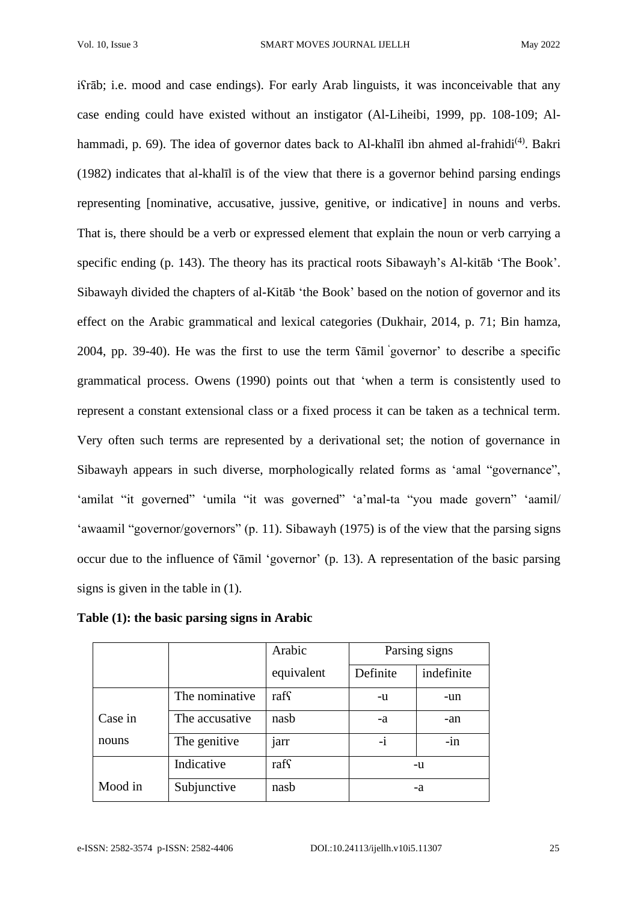iʕrāb; i.e. mood and case endings). For early Arab linguists, it was inconceivable that any case ending could have existed without an instigator (Al-Liheibi, 1999, pp. 108-109; Alhammadi, p. 69). The idea of governor dates back to Al-khalīl ibn ahmed al-frahidi<sup>(4)</sup>. Bakri (1982) indicates that al-khalīl is of the view that there is a governor behind parsing endings representing [nominative, accusative, jussive, genitive, or indicative] in nouns and verbs. That is, there should be a verb or expressed element that explain the noun or verb carrying a specific ending (p. 143). The theory has its practical roots Sibawayh's Al-kitāb 'The Book'. Sibawayh divided the chapters of al-Kitāb 'the Book' based on the notion of governor and its effect on the Arabic grammatical and lexical categories (Dukhair, 2014, p. 71; Bin hamza, 2004, pp. 39-40). He was the first to use the term ʕāmil ' governor' to describe a specific grammatical process. Owens (1990) points out that 'when a term is consistently used to represent a constant extensional class or a fixed process it can be taken as a technical term. Very often such terms are represented by a derivational set; the notion of governance in Sibawayh appears in such diverse, morphologically related forms as 'amal "governance", 'amilat "it governed" 'umila "it was governed" 'a'mal-ta "you made govern" 'aamil/ 'awaamil "governor/governors" (p. 11). Sibawayh (1975) is of the view that the parsing signs occur due to the influence of ʕāmil 'governor' (p. 13). A representation of the basic parsing signs is given in the table in (1).

**Table (1): the basic parsing signs in Arabic** 

|         |                | Arabic     | Parsing signs |            |
|---------|----------------|------------|---------------|------------|
|         |                | equivalent | Definite      | indefinite |
|         | The nominative | raff       | -u            | -un        |
| Case in | The accusative | nasb       | -a            | -an        |
| nouns   | The genitive   | jarr       | -1            | $-in$      |
|         | Indicative     | raff       | -u            |            |
| Mood in | Subjunctive    | nasb       | -a            |            |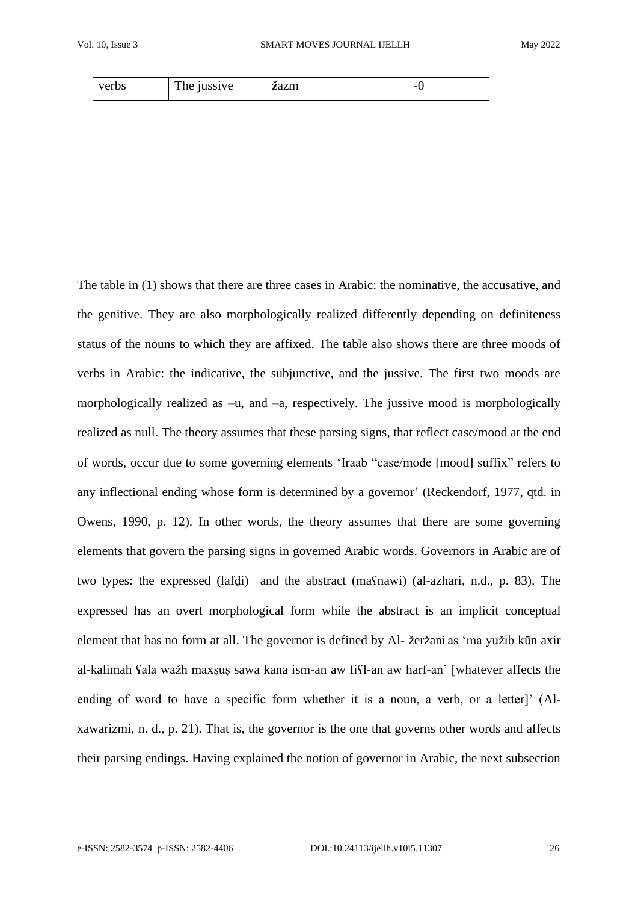| verbs | <b>TIME</b><br>jussive<br>1 <sub>ne</sub> | ٠.<br><b>z</b> azm | - |
|-------|-------------------------------------------|--------------------|---|
|-------|-------------------------------------------|--------------------|---|

The table in (1) shows that there are three cases in Arabic: the nominative, the accusative, and the genitive. They are also morphologically realized differently depending on definiteness status of the nouns to which they are affixed. The table also shows there are three moods of verbs in Arabic: the indicative, the subjunctive, and the jussive. The first two moods are morphologically realized as –u, and –a, respectively. The jussive mood is morphologically realized as null. The theory assumes that these parsing signs, that reflect case/mood at the end of words, occur due to some governing elements 'Iraab "case/mode [mood] suffix" refers to any inflectional ending whose form is determined by a governor' (Reckendorf, 1977, qtd. in Owens, 1990, p. 12). In other words, the theory assumes that there are some governing elements that govern the parsing signs in governed Arabic words. Governors in Arabic are of two types: the expressed (lafḏi) and the abstract (maʕnawi) (al-azhari, n.d., p. 83). The expressed has an overt morphological form while the abstract is an implicit conceptual element that has no form at all. The governor is defined by Al- žeržani as 'ma yužib kūn axir al-kalimah ʕala wažh maxṣuṣ sawa kana ism-an aw fiʕl-an aw harf-an' [whatever affects the ending of word to have a specific form whether it is a noun, a verb, or a letter]' (Alxawarizmi, n. d., p. 21). That is, the governor is the one that governs other words and affects their parsing endings. Having explained the notion of governor in Arabic, the next subsection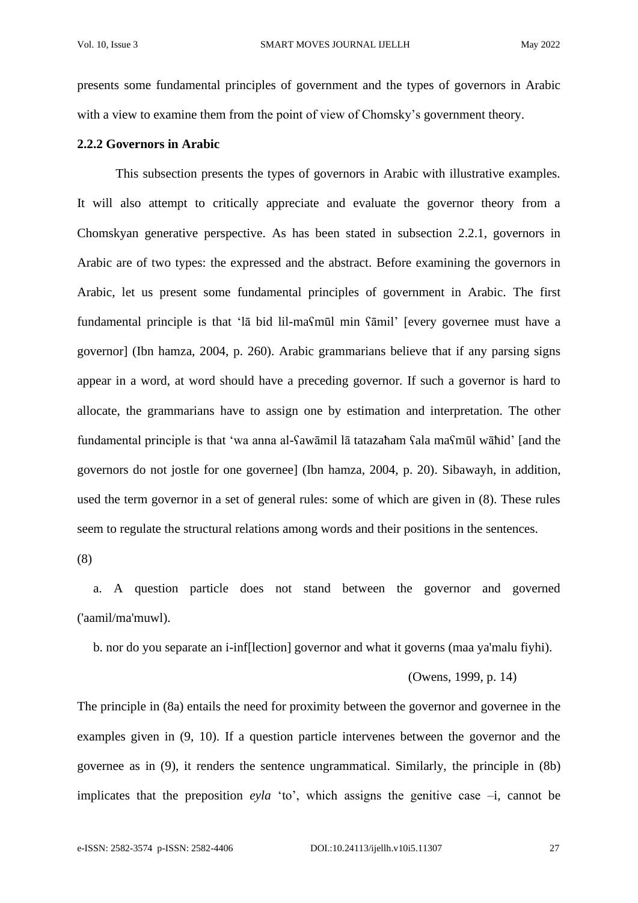presents some fundamental principles of government and the types of governors in Arabic with a view to examine them from the point of view of Chomsky's government theory.

## **2.2.2 Governors in Arabic**

This subsection presents the types of governors in Arabic with illustrative examples. It will also attempt to critically appreciate and evaluate the governor theory from a Chomskyan generative perspective. As has been stated in subsection 2.2.1, governors in Arabic are of two types: the expressed and the abstract. Before examining the governors in Arabic, let us present some fundamental principles of government in Arabic. The first fundamental principle is that 'lā bid lil-maʕmūl min ʕāmil' [every governee must have a governor] (Ibn hamza, 2004, p. 260). Arabic grammarians believe that if any parsing signs appear in a word, at word should have a preceding governor. If such a governor is hard to allocate, the grammarians have to assign one by estimation and interpretation. The other fundamental principle is that 'wa anna al-ʕawāmil lā tatazaħam ʕala maʕmūl wāħid' [and the governors do not jostle for one governee] (Ibn hamza, 2004, p. 20). Sibawayh, in addition, used the term governor in a set of general rules: some of which are given in (8). These rules seem to regulate the structural relations among words and their positions in the sentences.

(8)

 a. A question particle does not stand between the governor and governed ('aamil/ma'muwl).

b. nor do you separate an i-inf[lection] governor and what it governs (maa ya'malu fiyhi).

## (Owens, 1999, p. 14)

The principle in (8a) entails the need for proximity between the governor and governee in the examples given in (9, 10). If a question particle intervenes between the governor and the governee as in (9), it renders the sentence ungrammatical. Similarly, the principle in (8b) implicates that the preposition *eyla* 'to', which assigns the genitive case –i, cannot be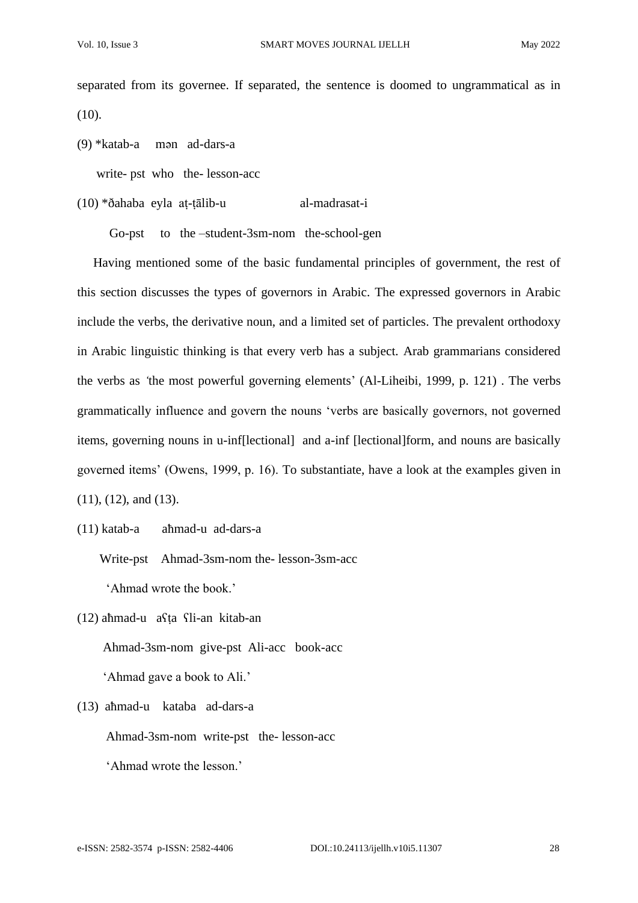separated from its governee. If separated, the sentence is doomed to ungrammatical as in (10).

(9) \*katab-a mәn ad-dars-a

write- pst who the- lesson-acc

(10) \*ðahaba eyla aṭ-ṭālib-u al-madrasat-i

Go-pst to the –student-3sm-nom the-school-gen

 Having mentioned some of the basic fundamental principles of government, the rest of this section discusses the types of governors in Arabic. The expressed governors in Arabic include the verbs, the derivative noun, and a limited set of particles. The prevalent orthodoxy in Arabic linguistic thinking is that every verb has a subject. Arab grammarians considered the verbs as *'*the most powerful governing elements' (Al-Liheibi, 1999*,* p. 121) . The verbs grammatically influence and govern the nouns 'verbs are basically governors, not governed items, governing nouns in u-inf[lectional] and a-inf [lectional]form, and nouns are basically governed items' (Owens, 1999, p. 16). To substantiate, have a look at the examples given in (11), (12), and (13).

(11) katab-a aħmad-u ad-dars-a

 Write-pst Ahmad-3sm-nom the- lesson-3sm-acc 'Ahmad wrote the book.'

- (12) aħmad-u aʕṭa ʕli-an kitab-an Ahmad-3sm-nom give-pst Ali-acc book-acc 'Ahmad gave a book to Ali.'
- (13) aħmad-u kataba ad-dars-a

Ahmad-3sm-nom write-pst the- lesson-acc

'Ahmad wrote the lesson.'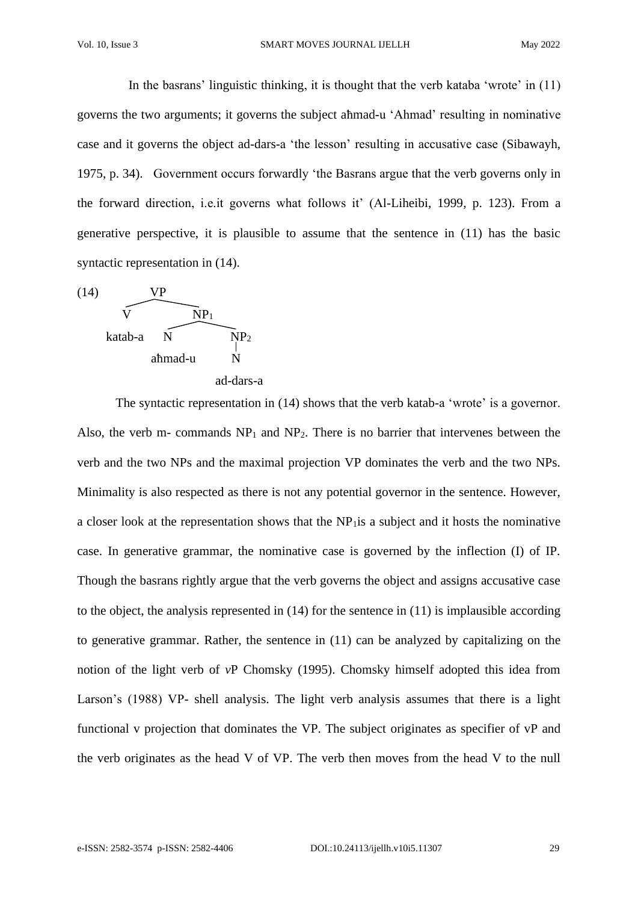In the basrans' linguistic thinking, it is thought that the verb kataba 'wrote' in (11) governs the two arguments; it governs the subject aħmad-u 'Ahmad' resulting in nominative case and it governs the object ad-dars-a 'the lesson' resulting in accusative case (Sibawayh, 1975, p. 34). Government occurs forwardly 'the Basrans argue that the verb governs only in the forward direction, i.e.it governs what follows it' (Al-Liheibi, 1999*,* p. 123). From a generative perspective, it is plausible to assume that the sentence in (11) has the basic syntactic representation in (14).



The syntactic representation in (14) shows that the verb katab-a 'wrote' is a governor. Also, the verb m- commands  $NP_1$  and  $NP_2$ . There is no barrier that intervenes between the verb and the two NPs and the maximal projection VP dominates the verb and the two NPs. Minimality is also respected as there is not any potential governor in the sentence. However, a closer look at the representation shows that the NP1is a subject and it hosts the nominative case. In generative grammar, the nominative case is governed by the inflection (I) of IP. Though the basrans rightly argue that the verb governs the object and assigns accusative case to the object, the analysis represented in (14) for the sentence in (11) is implausible according to generative grammar. Rather, the sentence in (11) can be analyzed by capitalizing on the notion of the light verb of *v*P Chomsky (1995). Chomsky himself adopted this idea from Larson's (1988) VP- shell analysis. The light verb analysis assumes that there is a light functional v projection that dominates the VP. The subject originates as specifier of vP and the verb originates as the head V of VP. The verb then moves from the head V to the null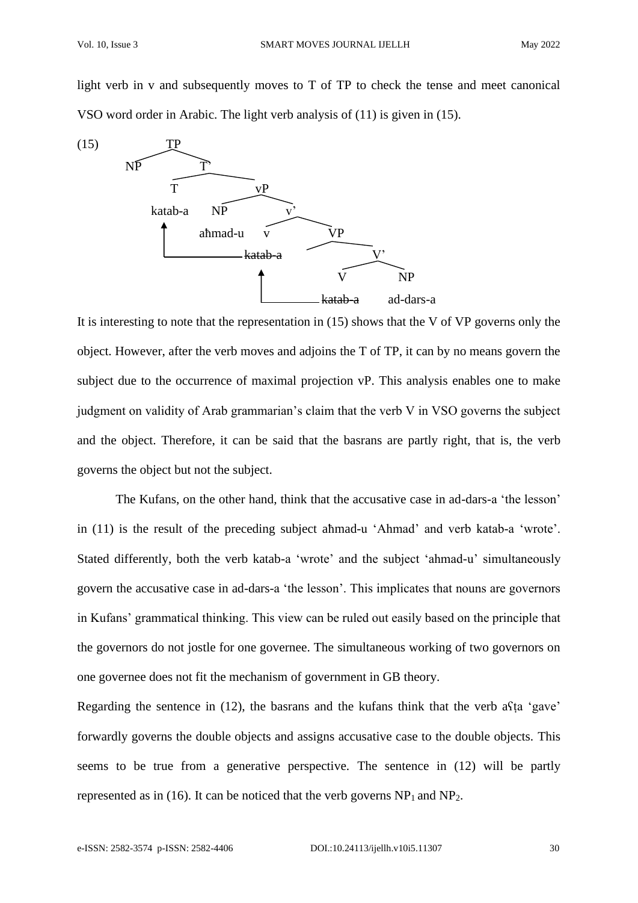light verb in v and subsequently moves to T of TP to check the tense and meet canonical VSO word order in Arabic. The light verb analysis of (11) is given in (15).



It is interesting to note that the representation in (15) shows that the V of VP governs only the object. However, after the verb moves and adjoins the T of TP, it can by no means govern the subject due to the occurrence of maximal projection vP. This analysis enables one to make judgment on validity of Arab grammarian's claim that the verb V in VSO governs the subject and the object. Therefore, it can be said that the basrans are partly right, that is, the verb governs the object but not the subject.

The Kufans, on the other hand, think that the accusative case in ad-dars-a 'the lesson' in (11) is the result of the preceding subject aħmad-u 'Ahmad' and verb katab-a 'wrote'. Stated differently, both the verb katab-a 'wrote' and the subject 'ahmad-u' simultaneously govern the accusative case in ad-dars-a 'the lesson'. This implicates that nouns are governors in Kufans' grammatical thinking. This view can be ruled out easily based on the principle that the governors do not jostle for one governee. The simultaneous working of two governors on one governee does not fit the mechanism of government in GB theory.

Regarding the sentence in (12), the basrans and the kufans think that the verb aʕṭa 'gave' forwardly governs the double objects and assigns accusative case to the double objects. This seems to be true from a generative perspective. The sentence in (12) will be partly represented as in (16). It can be noticed that the verb governs  $NP<sub>1</sub>$  and  $NP<sub>2</sub>$ .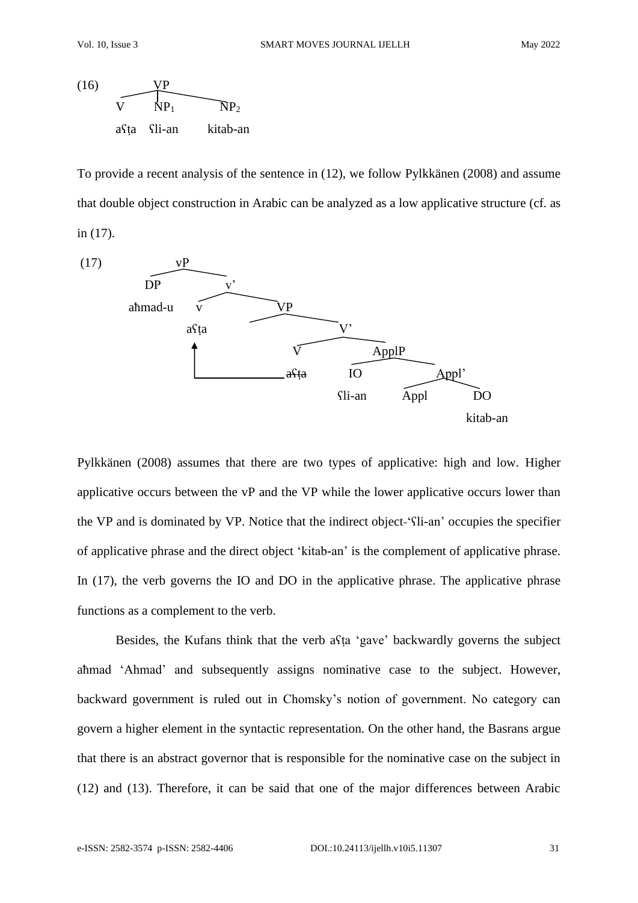

To provide a recent analysis of the sentence in (12), we follow Pylkkänen (2008) and assume that double object construction in Arabic can be analyzed as a low applicative structure (cf. as in (17).



Pylkkänen (2008) assumes that there are two types of applicative: high and low. Higher applicative occurs between the vP and the VP while the lower applicative occurs lower than the VP and is dominated by VP. Notice that the indirect object 'ʕli-an' occupies the specifier of applicative phrase and the direct object 'kitab-an' is the complement of applicative phrase. In (17), the verb governs the IO and DO in the applicative phrase. The applicative phrase functions as a complement to the verb.

Besides, the Kufans think that the verb aʕṭa 'gave' backwardly governs the subject aħmad 'Ahmad' and subsequently assigns nominative case to the subject. However, backward government is ruled out in Chomsky's notion of government. No category can govern a higher element in the syntactic representation. On the other hand, the Basrans argue that there is an abstract governor that is responsible for the nominative case on the subject in (12) and (13). Therefore, it can be said that one of the major differences between Arabic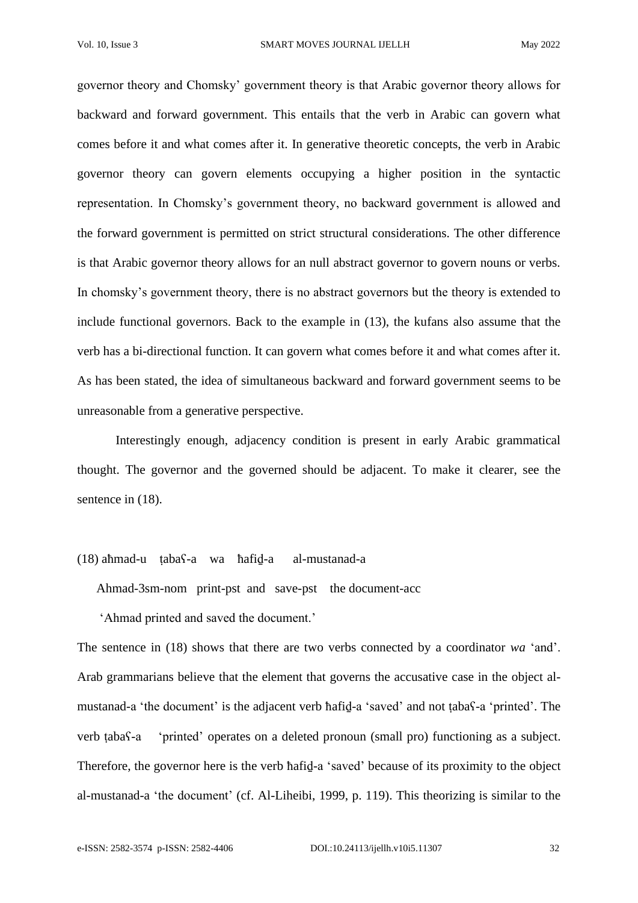governor theory and Chomsky' government theory is that Arabic governor theory allows for backward and forward government. This entails that the verb in Arabic can govern what comes before it and what comes after it. In generative theoretic concepts, the verb in Arabic governor theory can govern elements occupying a higher position in the syntactic representation. In Chomsky's government theory, no backward government is allowed and the forward government is permitted on strict structural considerations. The other difference is that Arabic governor theory allows for an null abstract governor to govern nouns or verbs. In chomsky's government theory, there is no abstract governors but the theory is extended to include functional governors. Back to the example in (13), the kufans also assume that the verb has a bi-directional function. It can govern what comes before it and what comes after it. As has been stated, the idea of simultaneous backward and forward government seems to be unreasonable from a generative perspective.

Interestingly enough, adjacency condition is present in early Arabic grammatical thought. The governor and the governed should be adjacent. To make it clearer, see the sentence in  $(18)$ .

## (18) aħmad-u ṭabaʕ-a wa ħafiḏ-a al-mustanad-a

Ahmad-3sm-nom print-pst and save-pst the document-acc

'Ahmad printed and saved the document.'

The sentence in (18) shows that there are two verbs connected by a coordinator *wa* 'and'. Arab grammarians believe that the element that governs the accusative case in the object almustanad-a 'the document' is the adjacent verb ħafiḏ-a 'saved' and not ṭabaʕ-a 'printed'. The verb ṭabaʕ-a 'printed' operates on a deleted pronoun (small pro) functioning as a subject. Therefore, the governor here is the verb ħafiḏ-a 'saved' because of its proximity to the object al-mustanad-a 'the document' (cf. Al-Liheibi, 1999, p. 119). This theorizing is similar to the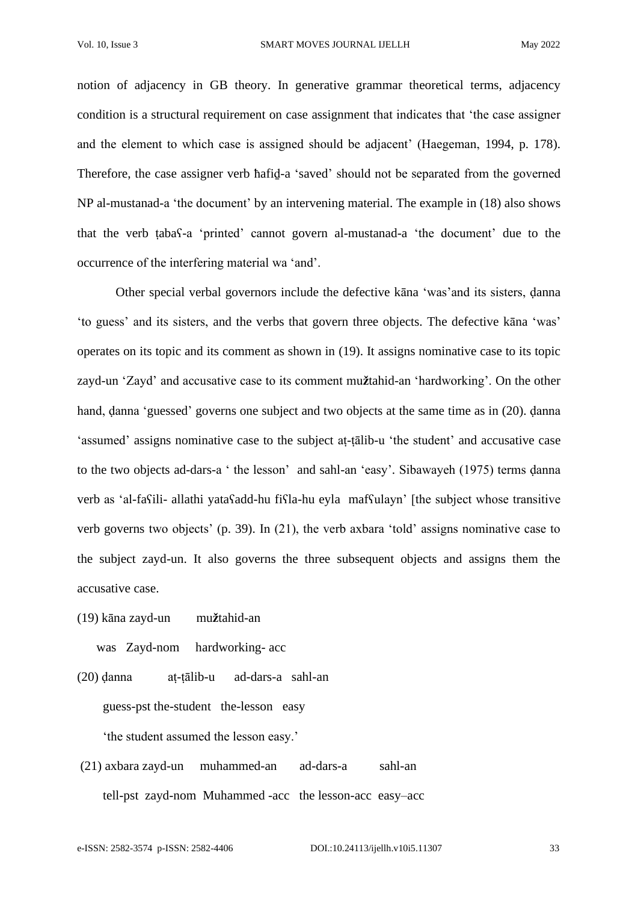notion of adjacency in GB theory. In generative grammar theoretical terms, adjacency condition is a structural requirement on case assignment that indicates that 'the case assigner and the element to which case is assigned should be adjacent' (Haegeman, 1994, p. 178). Therefore, the case assigner verb hafid-a 'saved' should not be separated from the governed NP al-mustanad-a 'the document' by an intervening material. The example in (18) also shows that the verb ṭabaʕ-a 'printed' cannot govern al-mustanad-a 'the document' due to the occurrence of the interfering material wa 'and'.

Other special verbal governors include the defective kāna 'was'and its sisters, ḍanna 'to guess' and its sisters, and the verbs that govern three objects. The defective kāna 'was' operates on its topic and its comment as shown in (19). It assigns nominative case to its topic zayd-un 'Zayd' and accusative case to its comment mu**ž**tahid-an 'hardworking'. On the other hand, ḍanna 'guessed' governs one subject and two objects at the same time as in (20). ḍanna 'assumed' assigns nominative case to the subject aṭ-ṭālib-u 'the student' and accusative case to the two objects ad-dars-a ' the lesson' and sahl-an 'easy'. Sibawayeh (1975) terms ḍanna verb as 'al-fasili- allathi yatasadd-hu fisla-hu eyla mafsulayn' [the subject whose transitive verb governs two objects' (p. 39). In (21), the verb axbara 'told' assigns nominative case to the subject zayd-un. It also governs the three subsequent objects and assigns them the accusative case.

(19) kāna zayd-un mu**ž**tahid-an

was Zayd-nom hardworking- acc

- (20) ḍanna aṭ-ṭālib-u ad-dars-a sahl-an guess-pst the-student the-lesson easy 'the student assumed the lesson easy.'
- (21) axbara zayd-un muhammed-an ad-dars-a sahl-an tell-pst zayd-nom Muhammed -acc the lesson-acc easy–acc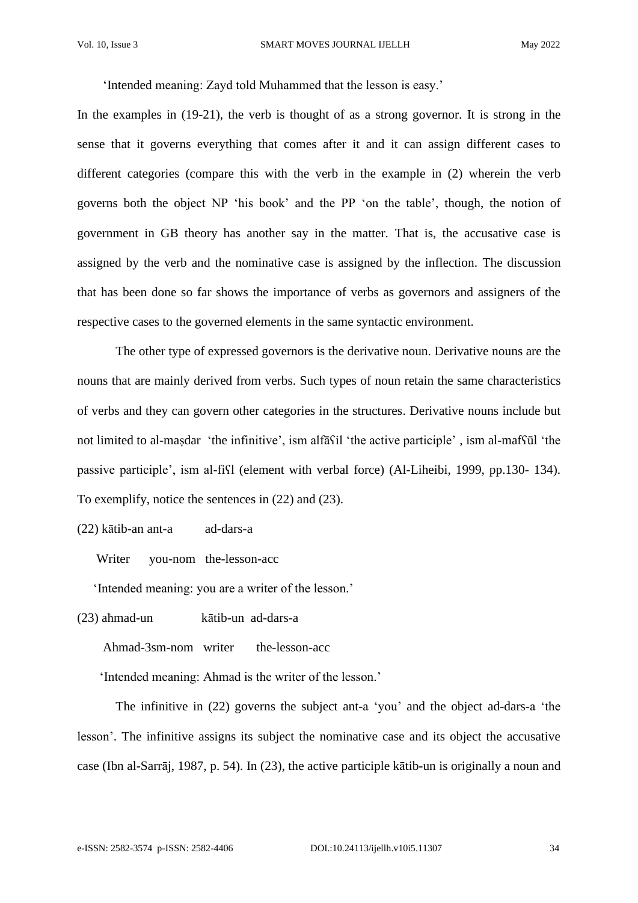'Intended meaning: Zayd told Muhammed that the lesson is easy.'

In the examples in (19-21), the verb is thought of as a strong governor. It is strong in the sense that it governs everything that comes after it and it can assign different cases to different categories (compare this with the verb in the example in (2) wherein the verb governs both the object NP 'his book' and the PP 'on the table', though, the notion of government in GB theory has another say in the matter. That is, the accusative case is assigned by the verb and the nominative case is assigned by the inflection. The discussion that has been done so far shows the importance of verbs as governors and assigners of the respective cases to the governed elements in the same syntactic environment.

The other type of expressed governors is the derivative noun. Derivative nouns are the nouns that are mainly derived from verbs. Such types of noun retain the same characteristics of verbs and they can govern other categories in the structures. Derivative nouns include but not limited to al-maṣdar 'the infinitive', ism alfāʕil 'the active participle' , ism al-mafʕūl 'the passive participle', ism al-fiʕl (element with verbal force) (Al-Liheibi, 1999, pp.130- 134). To exemplify, notice the sentences in (22) and (23).

(22) kātib-an ant-a ad-dars-a

Writer you-nom the-lesson-acc

'Intended meaning: you are a writer of the lesson.'

(23) aħmad-un kātib-un ad-dars-a

Ahmad-3sm-nom writer the-lesson-acc

'Intended meaning: Ahmad is the writer of the lesson.'

The infinitive in (22) governs the subject ant-a 'you' and the object ad-dars-a 'the lesson'. The infinitive assigns its subject the nominative case and its object the accusative case (Ibn al-Sarrāj, 1987, p. 54). In (23), the active participle kātib-un is originally a noun and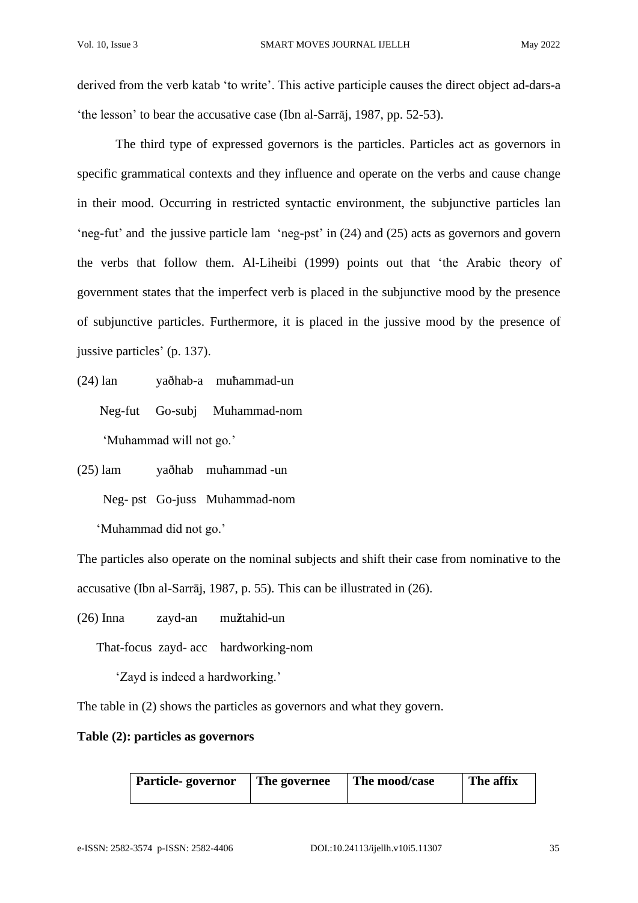derived from the verb katab 'to write'. This active participle causes the direct object ad-dars-a 'the lesson' to bear the accusative case (Ibn al-Sarrāj, 1987, pp. 52-53).

The third type of expressed governors is the particles. Particles act as governors in specific grammatical contexts and they influence and operate on the verbs and cause change in their mood. Occurring in restricted syntactic environment, the subjunctive particles lan 'neg-fut' and the jussive particle lam 'neg-pst' in (24) and (25) acts as governors and govern the verbs that follow them. Al-Liheibi (1999) points out that 'the Arabic theory of government states that the imperfect verb is placed in the subjunctive mood by the presence of subjunctive particles. Furthermore, it is placed in the jussive mood by the presence of jussive particles' (p. 137).

(24) lan yaðhab-a muħammad-un

Neg-fut Go-subj Muhammad-nom

'Muhammad will not go.'

(25) lam yaðhab muħammad -un Neg- pst Go-juss Muhammad-nom

'Muhammad did not go.'

The particles also operate on the nominal subjects and shift their case from nominative to the accusative (Ibn al-Sarrāj, 1987, p. 55). This can be illustrated in (26).

(26) Inna zayd-an mu**ž**tahid-un

That-focus zayd- acc hardworking-nom

'Zayd is indeed a hardworking.'

The table in (2) shows the particles as governors and what they govern.

# **Table (2): particles as governors**

| <b>Particle-governor</b> | The governee | The mood/case | The affix |
|--------------------------|--------------|---------------|-----------|
|                          |              |               |           |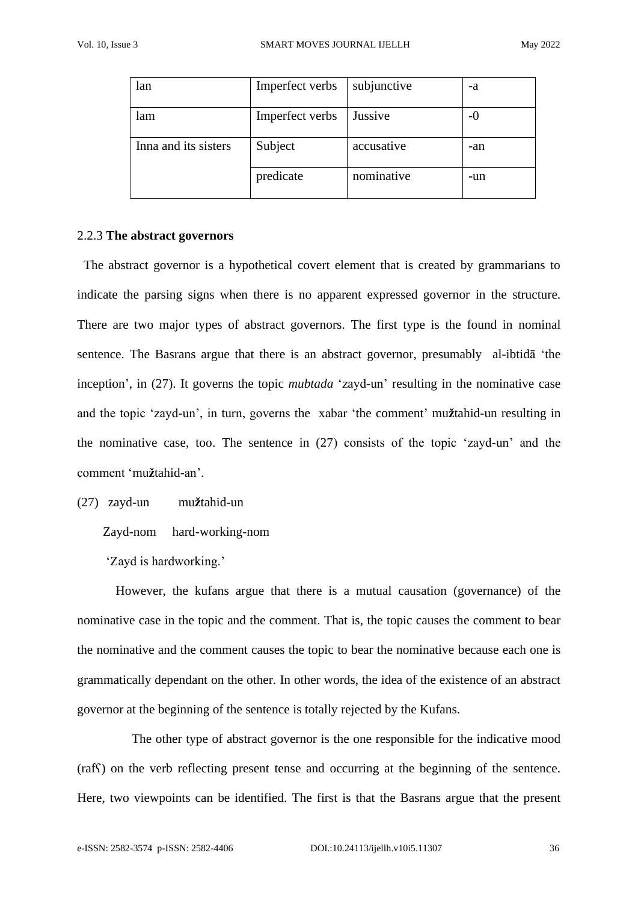| lan                  | Imperfect verbs | subjunctive | -a    |
|----------------------|-----------------|-------------|-------|
| lam                  | Imperfect verbs | Jussive     | $-()$ |
| Inna and its sisters | Subject         | accusative  | -an   |
|                      | predicate       | nominative  | -un   |

## 2.2.3 **The abstract governors**

The abstract governor is a hypothetical covert element that is created by grammarians to indicate the parsing signs when there is no apparent expressed governor in the structure. There are two major types of abstract governors. The first type is the found in nominal sentence. The Basrans argue that there is an abstract governor, presumably al-ibtidā 'the inception', in (27). It governs the topic *mubtada* 'zayd-un' resulting in the nominative case and the topic 'zayd-un', in turn, governs the xabar 'the comment' mu**ž**tahid-un resulting in the nominative case, too. The sentence in (27) consists of the topic 'zayd-un' and the comment 'mu**ž**tahid-an'.

## (27) zayd-un mu**ž**tahid-un

Zayd-nom hard-working-nom

'Zayd is hardworking.'

However, the kufans argue that there is a mutual causation (governance) of the nominative case in the topic and the comment. That is, the topic causes the comment to bear the nominative and the comment causes the topic to bear the nominative because each one is grammatically dependant on the other. In other words, the idea of the existence of an abstract governor at the beginning of the sentence is totally rejected by the Kufans.

 The other type of abstract governor is the one responsible for the indicative mood (rafʕ) on the verb reflecting present tense and occurring at the beginning of the sentence. Here, two viewpoints can be identified. The first is that the Basrans argue that the present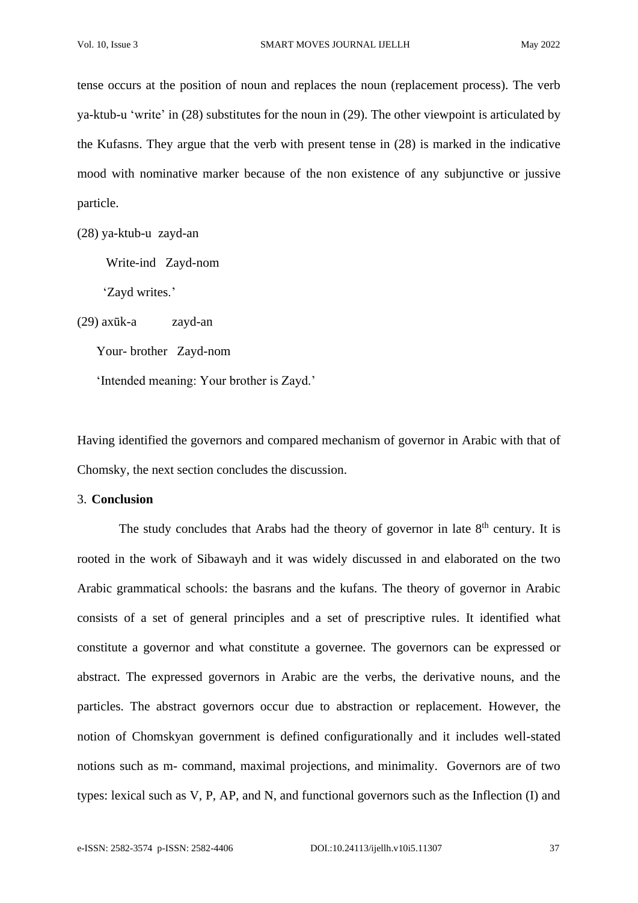tense occurs at the position of noun and replaces the noun (replacement process). The verb ya-ktub-u 'write' in (28) substitutes for the noun in (29). The other viewpoint is articulated by the Kufasns. They argue that the verb with present tense in (28) is marked in the indicative mood with nominative marker because of the non existence of any subjunctive or jussive particle.

(28) ya-ktub-u zayd-an

Write-ind Zayd-nom

'Zayd writes.'

(29) axūk-a zayd-an

Your- brother Zayd-nom

'Intended meaning: Your brother is Zayd.'

Having identified the governors and compared mechanism of governor in Arabic with that of Chomsky, the next section concludes the discussion.

3. **Conclusion**

The study concludes that Arabs had the theory of governor in late  $8<sup>th</sup>$  century. It is rooted in the work of Sibawayh and it was widely discussed in and elaborated on the two Arabic grammatical schools: the basrans and the kufans. The theory of governor in Arabic consists of a set of general principles and a set of prescriptive rules. It identified what constitute a governor and what constitute a governee. The governors can be expressed or abstract. The expressed governors in Arabic are the verbs, the derivative nouns, and the particles. The abstract governors occur due to abstraction or replacement. However, the notion of Chomskyan government is defined configurationally and it includes well-stated notions such as m- command, maximal projections, and minimality. Governors are of two types: lexical such as V, P, AP, and N, and functional governors such as the Inflection (I) and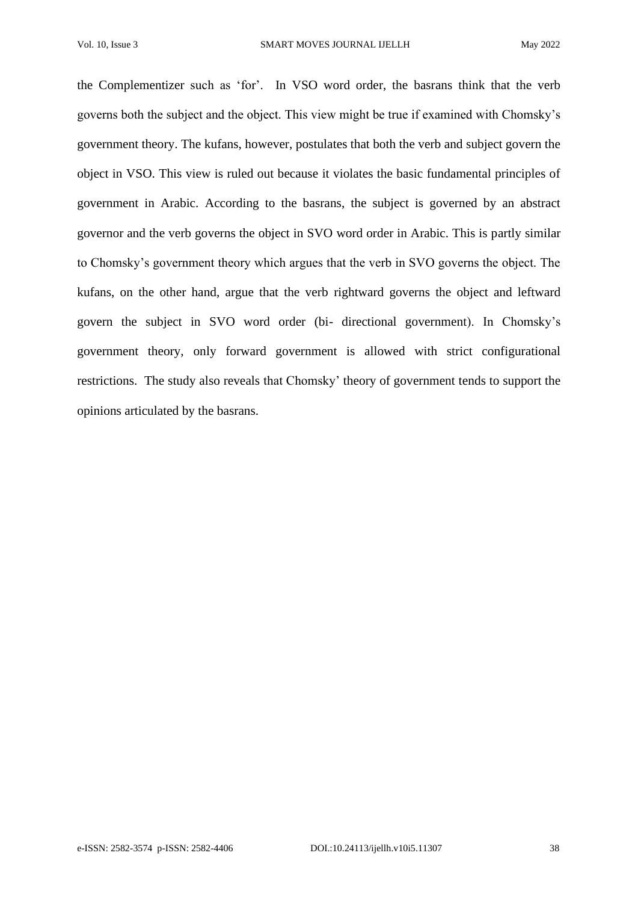the Complementizer such as 'for'. In VSO word order, the basrans think that the verb governs both the subject and the object. This view might be true if examined with Chomsky's government theory. The kufans, however, postulates that both the verb and subject govern the object in VSO. This view is ruled out because it violates the basic fundamental principles of government in Arabic. According to the basrans, the subject is governed by an abstract governor and the verb governs the object in SVO word order in Arabic. This is partly similar to Chomsky's government theory which argues that the verb in SVO governs the object. The kufans, on the other hand, argue that the verb rightward governs the object and leftward govern the subject in SVO word order (bi- directional government). In Chomsky's government theory, only forward government is allowed with strict configurational restrictions. The study also reveals that Chomsky' theory of government tends to support the opinions articulated by the basrans.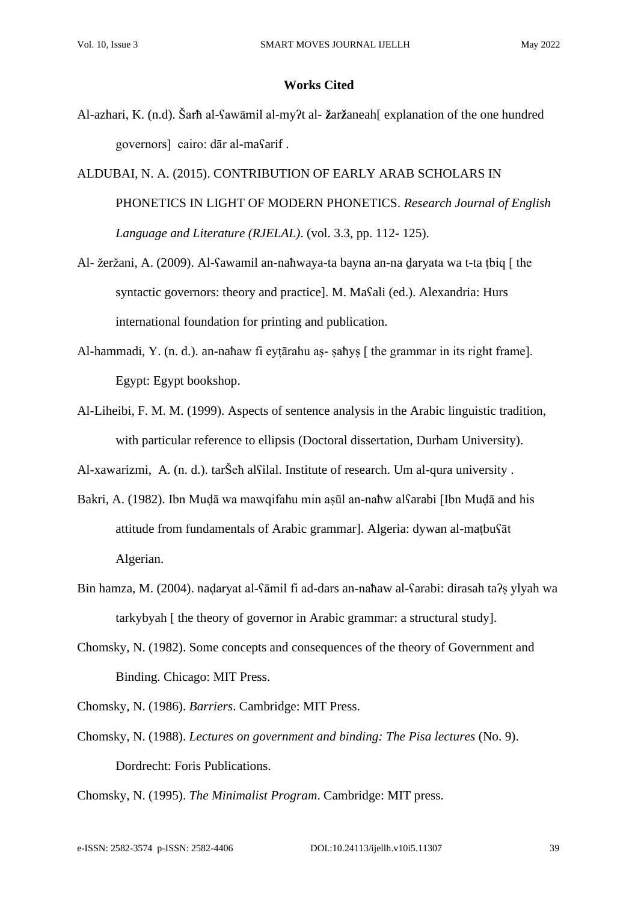#### **Works Cited**

- Al-azhari, K. (n.d). Šarħ al-ʕawāmil al-myʔt al- **ž**ar**ž**aneah[ explanation of the one hundred governors] cairo: dār al-maʕarif .
- ALDUBAI, N. A. (2015). CONTRIBUTION OF EARLY ARAB SCHOLARS IN PHONETICS IN LIGHT OF MODERN PHONETICS. *Research Journal of English Language and Literature (RJELAL)*. (vol. 3.3, pp. 112- 125).
- Al- žeržani, A. (2009). Al-ʕawamil an-naħwaya-ta bayna an-na ḏaryata wa t-ta ṭbiq [ the syntactic governors: theory and practice]. M. Maʕali (ed.). Alexandria: Hurs international foundation for printing and publication.
- Al-hammadi, Y. (n. d.). an-naħaw fi eytārahu as- saħys [ the grammar in its right frame]. Egypt: Egypt bookshop.
- Al-Liheibi, F. M. M. (1999). Aspects of sentence analysis in the Arabic linguistic tradition, with particular reference to ellipsis (Doctoral dissertation, Durham University).

Al-xawarizmi, A. (n. d.). tarŠeħ alʕilal. Institute of research. Um al-qura university .

- Bakri, A. (1982). Ibn Muḍā wa mawqifahu min aṣūl an-naħw alʕarabi [Ibn Muḍā and his attitude from fundamentals of Arabic grammar]. Algeria: dywan al-maṭbuʕāt Algerian.
- Bin hamza, M. (2004). naḍaryat al-ʕāmil fi ad-dars an-naħaw al-ʕarabi: dirasah taʔṣ ylyah wa tarkybyah [ the theory of governor in Arabic grammar: a structural study].
- Chomsky, N. (1982). Some concepts and consequences of the theory of Government and Binding. Chicago: MIT Press.
- Chomsky, N. (1986). *Barriers*. Cambridge: MIT Press.
- Chomsky, N. (1988). *Lectures on government and binding: The Pisa lectures* (No. 9). Dordrecht: Foris Publications.

Chomsky, N. (1995). *The Minimalist Program*. Cambridge: MIT press.